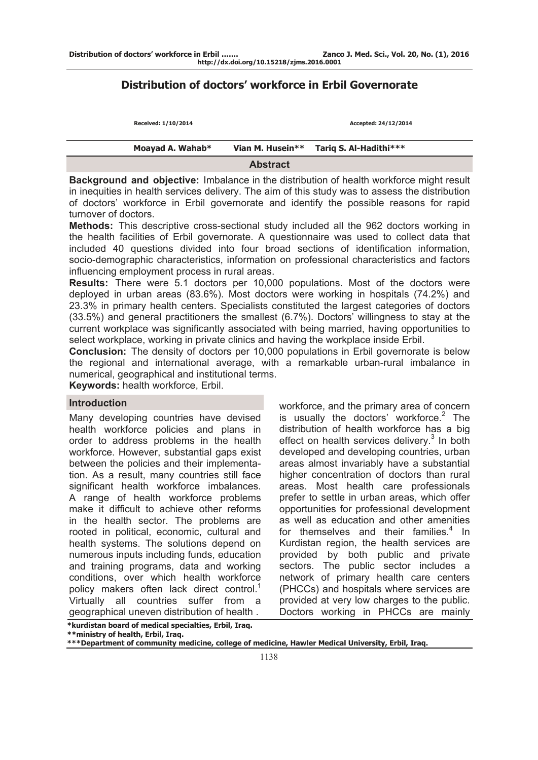# **Distribution of doctors' workforce in Erbil Governorate**

| Received: 1/10/2014 |                  | Accepted: 24/12/2014   |  |
|---------------------|------------------|------------------------|--|
| Moayad A. Wahab*    | Vian M. Husein** | Tariq S. Al-Hadithi*** |  |
|                     | <b>Abstract</b>  |                        |  |

**Background and objective:** Imbalance in the distribution of health workforce might result in inequities in health services delivery. The aim of this study was to assess the distribution of doctors' workforce in Erbil governorate and identify the possible reasons for rapid turnover of doctors.

**Methods:** This descriptive cross-sectional study included all the 962 doctors working in the health facilities of Erbil governorate. A questionnaire was used to collect data that included 40 questions divided into four broad sections of identification information, socio-demographic characteristics, information on professional characteristics and factors influencing employment process in rural areas.

**Results:** There were 5.1 doctors per 10,000 populations. Most of the doctors were deployed in urban areas (83.6%). Most doctors were working in hospitals (74.2%) and 23.3% in primary health centers. Specialists constituted the largest categories of doctors (33.5%) and general practitioners the smallest (6.7%). Doctors' willingness to stay at the current workplace was significantly associated with being married, having opportunities to select workplace, working in private clinics and having the workplace inside Erbil.

**Conclusion:** The density of doctors per 10,000 populations in Erbil governorate is below the regional and international average, with a remarkable urban-rural imbalance in numerical, geographical and institutional terms.

**Keywords:** health workforce, Erbil.

### **Introduction**

Many developing countries have devised health workforce policies and plans in order to address problems in the health workforce. However, substantial gaps exist between the policies and their implementation. As a result, many countries still face significant health workforce imbalances. A range of health workforce problems make it difficult to achieve other reforms in the health sector. The problems are rooted in political, economic, cultural and health systems. The solutions depend on numerous inputs including funds, education and training programs, data and working conditions, over which health workforce policy makers often lack direct control.<sup>1</sup> Virtually all countries suffer from a geographical uneven distribution of health .

workforce, and the primary area of concern is usually the doctors' workforce. $2$  The distribution of health workforce has a big effect on health services delivery.<sup>3</sup> In both developed and developing countries, urban areas almost invariably have a substantial higher concentration of doctors than rural areas. Most health care professionals prefer to settle in urban areas, which offer opportunities for professional development as well as education and other amenities for themselves and their families. $4$  In Kurdistan region, the health services are provided by both public and private sectors. The public sector includes a network of primary health care centers (PHCCs) and hospitals where services are provided at very low charges to the public. Doctors working in PHCCs are mainly

**\*kurdistan board of medical specialties, Erbil, Iraq. \*\*ministry of health, Erbil, Iraq.**

**\*\*\*Department of community medicine, college of medicine, Hawler Medical University, Erbil, Iraq.**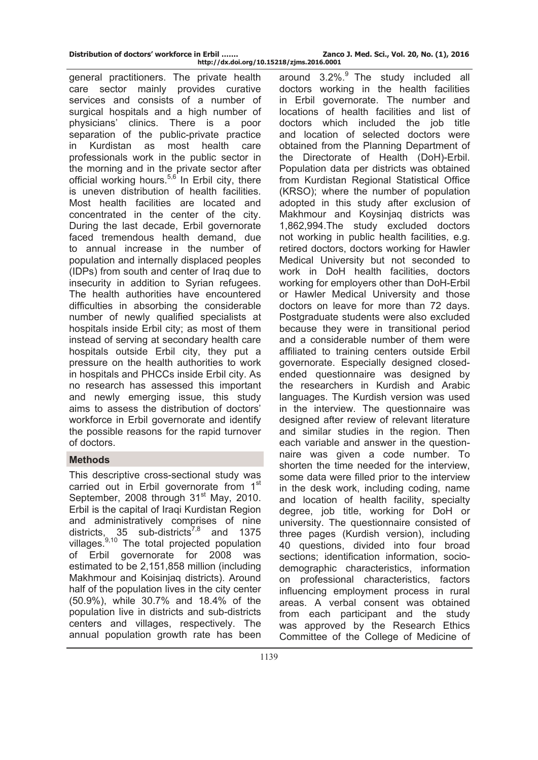general practitioners. The private health care sector mainly provides curative services and consists of a number of surgical hospitals and a high number of physicians' clinics. There is a poor separation of the public-private practice in Kurdistan as most health care professionals work in the public sector in the morning and in the private sector after official working hours. $5,6$  In Erbil city, there is uneven distribution of health facilities. Most health facilities are located and concentrated in the center of the city. During the last decade, Erbil governorate faced tremendous health demand, due to annual increase in the number of population and internally displaced peoples (IDPs) from south and center of Iraq due to insecurity in addition to Syrian refugees. The health authorities have encountered difficulties in absorbing the considerable number of newly qualified specialists at hospitals inside Erbil city; as most of them instead of serving at secondary health care hospitals outside Erbil city, they put a pressure on the health authorities to work in hospitals and PHCCs inside Erbil city. As no research has assessed this important and newly emerging issue, this study aims to assess the distribution of doctors' workforce in Erbil governorate and identify the possible reasons for the rapid turnover of doctors.

# **Methods**

This descriptive cross-sectional study was carried out in Erbil governorate from 1<sup>st</sup> September, 2008 through 31<sup>st</sup> May, 2010. Erbil is the capital of Iraqi Kurdistan Region and administratively comprises of nine districts,  $35$  sub-districts<sup>7,8</sup> and 1375 villages. $9,10$  The total projected population of Erbil governorate for 2008 was estimated to be 2,151,858 million (including Makhmour and Koisinjaq districts). Around half of the population lives in the city center (50.9%), while 30.7% and 18.4% of the population live in districts and sub-districts centers and villages, respectively. The annual population growth rate has been

around  $3.2\%$ . The study included all doctors working in the health facilities in Erbil governorate. The number and locations of health facilities and list of doctors which included the job title and location of selected doctors were obtained from the Planning Department of the Directorate of Health (DoH)-Erbil. Population data per districts was obtained from Kurdistan Regional Statistical Office (KRSO); where the number of population adopted in this study after exclusion of Makhmour and Koysinjaq districts was 1,862,994.The study excluded doctors not working in public health facilities, e.g. retired doctors, doctors working for Hawler Medical University but not seconded to work in DoH health facilities, doctors working for employers other than DoH-Erbil or Hawler Medical University and those doctors on leave for more than 72 days. Postgraduate students were also excluded because they were in transitional period and a considerable number of them were affiliated to training centers outside Erbil governorate. Especially designed closedended questionnaire was designed by the researchers in Kurdish and Arabic languages. The Kurdish version was used in the interview. The questionnaire was designed after review of relevant literature and similar studies in the region. Then each variable and answer in the questionnaire was given a code number. To shorten the time needed for the interview, some data were filled prior to the interview in the desk work, including coding, name and location of health facility, specialty degree, job title, working for DoH or university. The questionnaire consisted of three pages (Kurdish version), including 40 questions, divided into four broad sections; identification information, sociodemographic characteristics, information on professional characteristics, factors influencing employment process in rural areas. A verbal consent was obtained from each participant and the study was approved by the Research Ethics Committee of the College of Medicine of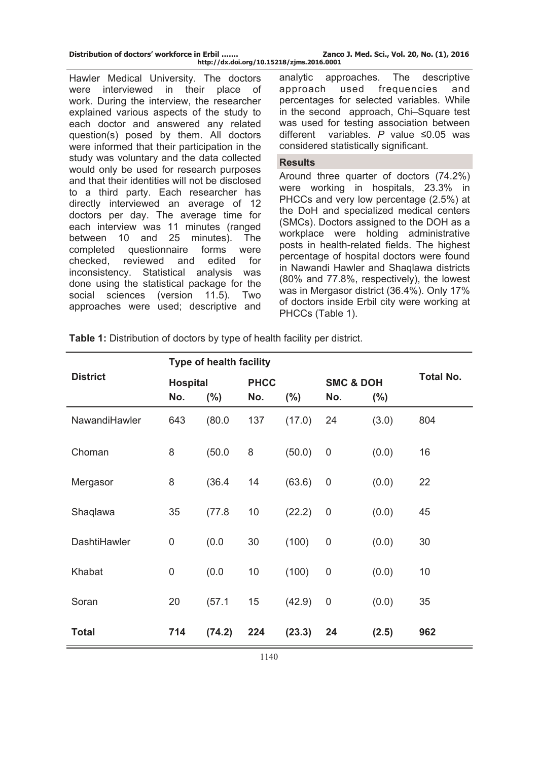| Distribution of doctors' workforce in Erbil | Zanco J. Med. Sci., Vol. 20, No. (1), 2016 |  |
|---------------------------------------------|--------------------------------------------|--|
| http://dx.doi.org/10.15218/zjms.2016.0001   |                                            |  |

Hawler Medical University. The doctors were interviewed in their place of work. During the interview, the researcher explained various aspects of the study to each doctor and answered any related question(s) posed by them. All doctors were informed that their participation in the study was voluntary and the data collected would only be used for research purposes and that their identities will not be disclosed to a third party. Each researcher has directly interviewed an average of 12 doctors per day. The average time for each interview was 11 minutes (ranged between 10 and 25 minutes). The completed questionnaire forms were checked, reviewed and edited for inconsistency. Statistical analysis was done using the statistical package for the social sciences (version 11.5). Two approaches were used; descriptive and analytic approaches. The descriptive approach used frequencies and percentages for selected variables. While in the second approach, Chi–Square test was used for testing association between different variables. *P* value ≤0.05 was considered statistically significant.

### **Results**

Around three quarter of doctors (74.2%) were working in hospitals, 23.3% in PHCCs and very low percentage (2.5%) at the DoH and specialized medical centers (SMCs). Doctors assigned to the DOH as a workplace were holding administrative posts in health-related fields. The highest percentage of hospital doctors were found in Nawandi Hawler and Shaqlawa districts (80% and 77.8%, respectively), the lowest was in Mergasor district (36.4%). Only 17% of doctors inside Erbil city were working at PHCCs (Table 1).

|                 | <b>Type of health facility</b> |         |             |         |                  |                      |                  |
|-----------------|--------------------------------|---------|-------------|---------|------------------|----------------------|------------------|
| <b>District</b> | <b>Hospital</b>                |         | <b>PHCC</b> |         |                  | <b>SMC &amp; DOH</b> | <b>Total No.</b> |
|                 | No.                            | $(\% )$ | No.         | $(\% )$ | No.              | $(\% )$              |                  |
| NawandiHawler   | 643                            | (80.0)  | 137         | (17.0)  | 24               | (3.0)                | 804              |
| Choman          | 8                              | (50.0)  | 8           | (50.0)  | $\boldsymbol{0}$ | (0.0)                | 16               |
| Mergasor        | 8                              | (36.4)  | 14          | (63.6)  | $\boldsymbol{0}$ | (0.0)                | 22               |
| Shaqlawa        | 35                             | (77.8)  | 10          | (22.2)  | $\mathbf 0$      | (0.0)                | 45               |
| DashtiHawler    | 0                              | (0.0)   | 30          | (100)   | $\boldsymbol{0}$ | (0.0)                | 30               |
| Khabat          | $\mathbf 0$                    | (0.0)   | 10          | (100)   | $\boldsymbol{0}$ | (0.0)                | 10               |
| Soran           | 20                             | (57.1)  | 15          | (42.9)  | $\mathbf 0$      | (0.0)                | 35               |
| <b>Total</b>    | 714                            | (74.2)  | 224         | (23.3)  | 24               | (2.5)                | 962              |

**Table 1:** Distribution of doctors by type of health facility per district.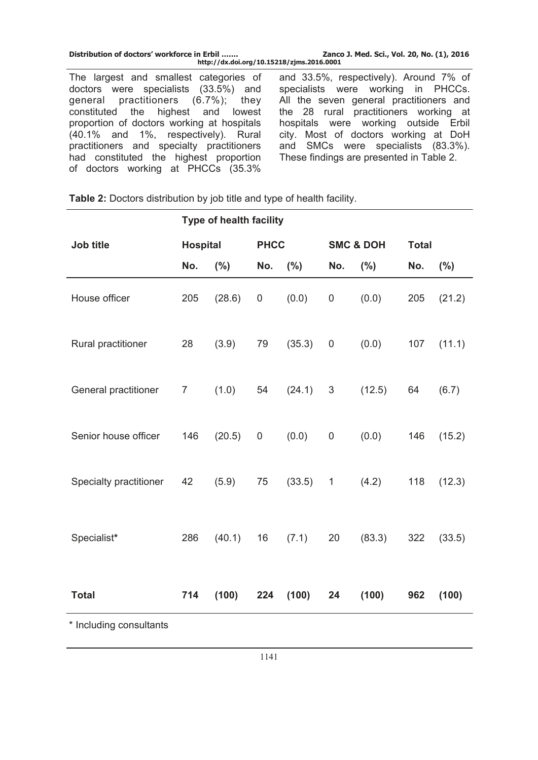| Distribution of doctors' workforce in Erbil<br>http://dx.doi.org/10.15218/zjms.2016.0001 | Zanco J. Med. Sci., Vol. 20, No. (1), 2016 |
|------------------------------------------------------------------------------------------|--------------------------------------------|
| The largest and smallest categories of                                                   | and 33.5%, respectively). Around 7% of     |
| doctors were specialists (33.5%) and                                                     | specialists were working in PHCCs.         |
| general practitioners (6.7%); they                                                       | All the seven general practitioners and    |
| constituted the highest and lowest                                                       | the 28 rural practitioners working at      |
| proportion of doctors working at hospitals                                               | hospitals were working outside Erbil       |
| (40.1% and 1%, respectively). Rural                                                      | city. Most of doctors working at DoH       |
| practitioners and specialty practitioners                                                | and SMCs were specialists (83.3%).         |
| had constituted the highest proportion                                                   | These findings are presented in Table 2.   |

| Table 2: Doctors distribution by job title and type of health facility. |  |
|-------------------------------------------------------------------------|--|
|                                                                         |  |

of doctors working at PHCCs (35.3%

|                         | <b>Type of health facility</b> |        |     |             |                |                      |              |         |  |
|-------------------------|--------------------------------|--------|-----|-------------|----------------|----------------------|--------------|---------|--|
| Job title               | <b>Hospital</b>                |        |     | <b>PHCC</b> |                | <b>SMC &amp; DOH</b> | <b>Total</b> |         |  |
|                         | No.                            | (%)    | No. | (%)         | No.            | $(\% )$              | No.          | $(\% )$ |  |
| House officer           | 205                            | (28.6) | 0   | (0.0)       | $\pmb{0}$      | (0.0)                | 205          | (21.2)  |  |
| Rural practitioner      | 28                             | (3.9)  | 79  | (35.3)      | 0              | (0.0)                | 107          | (11.1)  |  |
| General practitioner    | $\overline{7}$                 | (1.0)  | 54  | (24.1)      | $\mathfrak{S}$ | (12.5)               | 64           | (6.7)   |  |
| Senior house officer    | 146                            | (20.5) | 0   | (0.0)       | $\pmb{0}$      | (0.0)                | 146          | (15.2)  |  |
| Specialty practitioner  | 42                             | (5.9)  | 75  | (33.5)      | $\mathbf{1}$   | (4.2)                | 118          | (12.3)  |  |
| Specialist*             | 286                            | (40.1) | 16  | (7.1)       | 20             | (83.3)               | 322          | (33.5)  |  |
| <b>Total</b>            | 714                            | (100)  | 224 | (100)       | 24             | (100)                | 962          | (100)   |  |
| * Including consultants |                                |        |     |             |                |                      |              |         |  |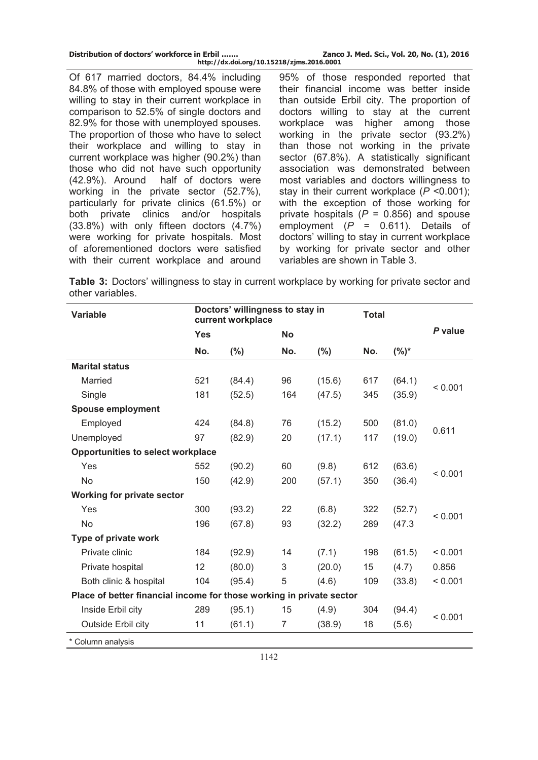| Distribution of doctors' workforce in Erbil | Zanco J. Med. Sci., Vol. 20, No. (1), 2016 |
|---------------------------------------------|--------------------------------------------|
| http://dx.doi.org/10.15218/zjms.2016.0001   |                                            |

Of 617 married doctors, 84.4% including 84.8% of those with employed spouse were willing to stay in their current workplace in comparison to 52.5% of single doctors and 82.9% for those with unemployed spouses. The proportion of those who have to select their workplace and willing to stay in current workplace was higher (90.2%) than those who did not have such opportunity (42.9%). Around half of doctors were working in the private sector (52.7%), particularly for private clinics (61.5%) or both private clinics and/or hospitals (33.8%) with only fifteen doctors (4.7%) were working for private hospitals. Most of aforementioned doctors were satisfied with their current workplace and around 95% of those responded reported that their financial income was better inside than outside Erbil city. The proportion of doctors willing to stay at the current workplace was higher among those working in the private sector (93.2%) than those not working in the private sector (67.8%). A statistically significant association was demonstrated between most variables and doctors willingness to stay in their current workplace (*P* <0.001); with the exception of those working for private hospitals (*P* = 0.856) and spouse employment (*P* = 0.611). Details of doctors' willing to stay in current workplace by working for private sector and other variables are shown in Table 3.

**Table 3:** Doctors' willingness to stay in current workplace by working for private sector and other variables.

| <b>Variable</b>                                                      |            | Doctors' willingness to stay in<br>current workplace |                |        | <b>Total</b> |         |         |  |
|----------------------------------------------------------------------|------------|------------------------------------------------------|----------------|--------|--------------|---------|---------|--|
|                                                                      | <b>Yes</b> |                                                      | <b>No</b>      |        |              |         | P value |  |
|                                                                      | No.        | $(\%)$                                               | No.            | $(\%)$ | No.          | $(%)^*$ |         |  |
| <b>Marital status</b>                                                |            |                                                      |                |        |              |         |         |  |
| Married                                                              | 521        | (84.4)                                               | 96             | (15.6) | 617          | (64.1)  | < 0.001 |  |
| Single                                                               | 181        | (52.5)                                               | 164            | (47.5) | 345          | (35.9)  |         |  |
| <b>Spouse employment</b>                                             |            |                                                      |                |        |              |         |         |  |
| Employed                                                             | 424        | (84.8)                                               | 76             | (15.2) | 500          | (81.0)  | 0.611   |  |
| Unemployed                                                           | 97         | (82.9)                                               | 20             | (17.1) | 117          | (19.0)  |         |  |
| <b>Opportunities to select workplace</b>                             |            |                                                      |                |        |              |         |         |  |
| Yes                                                                  | 552        | (90.2)                                               | 60             | (9.8)  | 612          | (63.6)  |         |  |
| <b>No</b>                                                            | 150        | (42.9)                                               | 200            | (57.1) | 350          | (36.4)  | < 0.001 |  |
| <b>Working for private sector</b>                                    |            |                                                      |                |        |              |         |         |  |
| Yes                                                                  | 300        | (93.2)                                               | 22             | (6.8)  | 322          | (52.7)  |         |  |
| <b>No</b>                                                            | 196        | (67.8)                                               | 93             | (32.2) | 289          | (47.3)  | < 0.001 |  |
| Type of private work                                                 |            |                                                      |                |        |              |         |         |  |
| Private clinic                                                       | 184        | (92.9)                                               | 14             | (7.1)  | 198          | (61.5)  | < 0.001 |  |
| Private hospital                                                     | 12         | (80.0)                                               | 3              | (20.0) | 15           | (4.7)   | 0.856   |  |
| Both clinic & hospital                                               | 104        | (95.4)                                               | 5              | (4.6)  | 109          | (33.8)  | < 0.001 |  |
| Place of better financial income for those working in private sector |            |                                                      |                |        |              |         |         |  |
| Inside Erbil city                                                    | 289        | (95.1)                                               | 15             | (4.9)  | 304          | (94.4)  |         |  |
| Outside Erbil city                                                   | 11         | (61.1)                                               | $\overline{7}$ | (38.9) | 18           | (5.6)   | < 0.001 |  |
| * Column analysis                                                    |            |                                                      |                |        |              |         |         |  |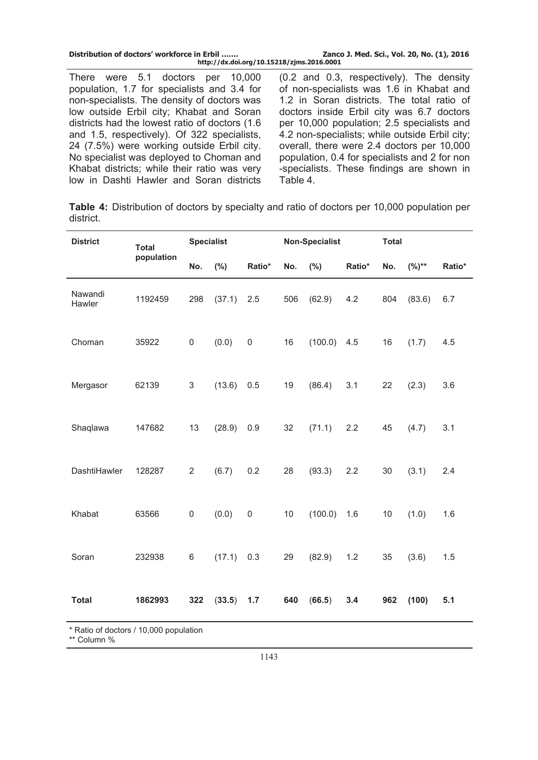| Distribution of doctors' workforce in Erbil<br>http://dx.doi.org/10.15218/zjms.2016.0001 | Zanco J. Med. Sci., Vol. 20, No. (1), 2016     |
|------------------------------------------------------------------------------------------|------------------------------------------------|
| There were 5.1 doctors per 10,000                                                        | (0.2 and 0.3, respectively). The density       |
| population, 1.7 for specialists and 3.4 for                                              | of non-specialists was 1.6 in Khabat and       |
| non-specialists. The density of doctors was                                              | 1.2 in Soran districts. The total ratio of     |
| low outside Erbil city; Khabat and Soran                                                 | doctors inside Erbil city was 6.7 doctors      |
| districts had the lowest ratio of doctors (1.6)                                          | per 10,000 population; 2.5 specialists and     |
| and 1.5, respectively). Of 322 specialists,                                              | 4.2 non-specialists; while outside Erbil city; |
| 24 (7.5%) were working outside Erbil city.                                               | overall, there were 2.4 doctors per 10,000     |
| No specialist was deployed to Choman and                                                 | population, 0.4 for specialists and 2 for non  |
| Khabat districts; while their ratio was very                                             | -specialists. These findings are shown in      |
| low in Dashti Hawler and Soran districts                                                 | Table 4.                                       |

**Table 4:** Distribution of doctors by specialty and ratio of doctors per 10,000 population per district.

| <b>District</b>                        | <b>Total</b> |                | <b>Specialist</b> |             | <b>Non-Specialist</b> |         |        | <b>Total</b> |            |        |
|----------------------------------------|--------------|----------------|-------------------|-------------|-----------------------|---------|--------|--------------|------------|--------|
|                                        | population   | No.            | (%)               | Ratio*      | No.                   | $(\%)$  | Ratio* | No.          | $(%)^{**}$ | Ratio* |
| Nawandi<br>Hawler                      | 1192459      | 298            | (37.1)            | 2.5         | 506                   | (62.9)  | 4.2    | 804          | (83.6)     | 6.7    |
| Choman                                 | 35922        | 0              | (0.0)             | $\mathsf 0$ | 16                    | (100.0) | 4.5    | 16           | (1.7)      | 4.5    |
| Mergasor                               | 62139        | 3              | (13.6)            | 0.5         | 19                    | (86.4)  | 3.1    | 22           | (2.3)      | 3.6    |
| Shaqlawa                               | 147682       | 13             | (28.9)            | 0.9         | 32                    | (71.1)  | 2.2    | 45           | (4.7)      | 3.1    |
| DashtiHawler                           | 128287       | $\overline{2}$ | (6.7)             | 0.2         | 28                    | (93.3)  | 2.2    | 30           | (3.1)      | 2.4    |
| Khabat                                 | 63566        | 0              | (0.0)             | $\mathsf 0$ | 10                    | (100.0) | 1.6    | 10           | (1.0)      | 1.6    |
| Soran                                  | 232938       | 6              | (17.1)            | 0.3         | 29                    | (82.9)  | 1.2    | 35           | (3.6)      | 1.5    |
| <b>Total</b>                           | 1862993      | 322            | (33.5)            | 1.7         | 640                   | (66.5)  | 3.4    | 962          | (100)      | 5.1    |
| * Ratio of doctors / 10,000 population |              |                |                   |             |                       |         |        |              |            |        |

\*\* Column %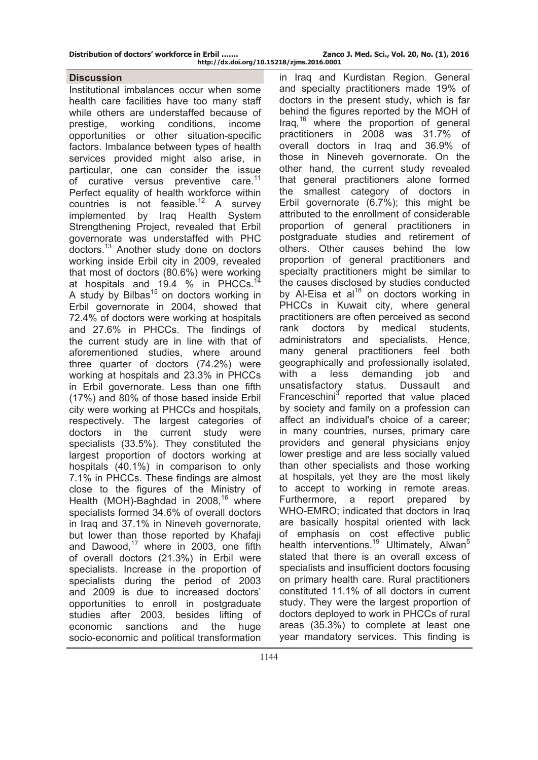### **Discussion**

Institutional imbalances occur when some health care facilities have too many staff while others are understaffed because of prestige, working conditions, income opportunities or other situation-specific factors. Imbalance between types of health services provided might also arise, in particular, one can consider the issue of curative versus preventive care.<sup>11</sup> Perfect equality of health workforce within countries is not feasible.<sup>12</sup> A survey implemented by Iraq Health System Strengthening Project, revealed that Erbil governorate was understaffed with PHC doctors.13 Another study done on doctors working inside Erbil city in 2009, revealed that most of doctors (80.6%) were working at hospitals and 19.4 % in PHCCs. A study by Bilbas<sup>15</sup> on doctors working in Erbil governorate in 2004, showed that 72.4% of doctors were working at hospitals and 27.6% in PHCCs. The findings of the current study are in line with that of aforementioned studies, where around three quarter of doctors (74.2%) were working at hospitals and 23.3% in PHCCs in Erbil governorate. Less than one fifth (17%) and 80% of those based inside Erbil city were working at PHCCs and hospitals, respectively. The largest categories of doctors in the current study were specialists (33.5%). They constituted the largest proportion of doctors working at hospitals (40.1%) in comparison to only 7.1% in PHCCs. These findings are almost close to the figures of the Ministry of Health (MOH)-Baghdad in 2008,<sup>16</sup> where specialists formed 34.6% of overall doctors in Iraq and 37.1% in Nineveh governorate, but lower than those reported by Khafaji and Dawood, $17$  where in 2003, one fifth of overall doctors (21.3%) in Erbil were specialists. Increase in the proportion of specialists during the period of 2003 and 2009 is due to increased doctors' opportunities to enroll in postgraduate studies after 2003, besides lifting of economic sanctions and the huge socio-economic and political transformation

in Iraq and Kurdistan Region. General and specialty practitioners made 19% of doctors in the present study, which is far behind the figures reported by the MOH of Iraq, $16$  where the proportion of general practitioners in 2008 was 31.7% of overall doctors in Iraq and 36.9% of those in Nineveh governorate. On the other hand, the current study revealed that general practitioners alone formed the smallest category of doctors in Erbil governorate (6.7%); this might be attributed to the enrollment of considerable proportion of general practitioners in postgraduate studies and retirement of others. Other causes behind the low proportion of general practitioners and specialty practitioners might be similar to the causes disclosed by studies conducted by Al-Eisa et al<sup>18</sup> on doctors working in PHCCs in Kuwait city, where general practitioners are often perceived as second rank doctors by medical students, administrators and specialists. Hence, many general practitioners feel both geographically and professionally isolated, with a less demanding job and unsatisfactory status. Dussault and Franceschini<sup>3</sup> reported that value placed by society and family on a profession can affect an individual's choice of a career; in many countries, nurses, primary care providers and general physicians enjoy lower prestige and are less socially valued than other specialists and those working at hospitals, yet they are the most likely to accept to working in remote areas. Furthermore, a report prepared by WHO-EMRO; indicated that doctors in Iraq are basically hospital oriented with lack of emphasis on cost effective public health interventions.<sup>19</sup> Ultimately, Alwan<sup>5</sup> stated that there is an overall excess of specialists and insufficient doctors focusing on primary health care. Rural practitioners constituted 11.1% of all doctors in current study. They were the largest proportion of doctors deployed to work in PHCCs of rural areas (35.3%) to complete at least one year mandatory services. This finding is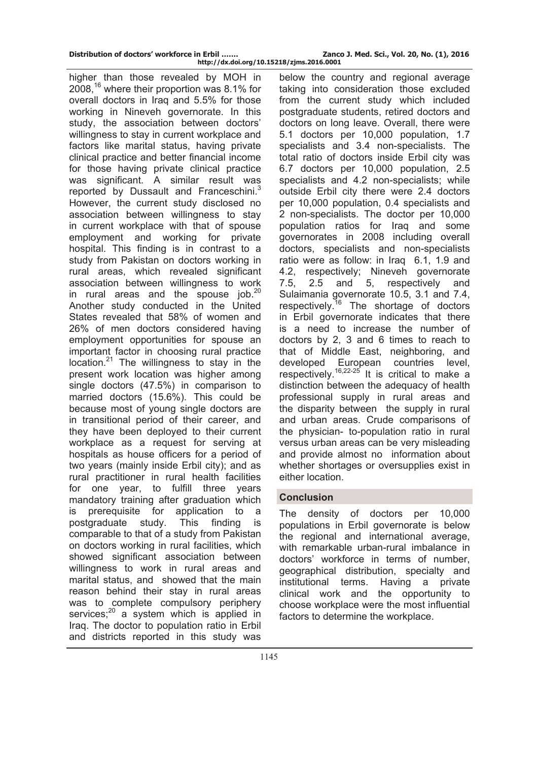higher than those revealed by MOH in 2008,16 where their proportion was 8.1% for overall doctors in Iraq and 5.5% for those working in Nineveh governorate. In this study, the association between doctors' willingness to stay in current workplace and factors like marital status, having private clinical practice and better financial income for those having private clinical practice was significant. A similar result was reported by Dussault and Franceschini.<sup>3</sup> However, the current study disclosed no association between willingness to stay in current workplace with that of spouse employment and working for private hospital. This finding is in contrast to a study from Pakistan on doctors working in rural areas, which revealed significant association between willingness to work in rural areas and the spouse job.<sup>20</sup> Another study conducted in the United States revealed that 58% of women and 26% of men doctors considered having employment opportunities for spouse an important factor in choosing rural practice location. $21$  The willingness to stay in the present work location was higher among single doctors (47.5%) in comparison to married doctors (15.6%). This could be because most of young single doctors are in transitional period of their career, and they have been deployed to their current workplace as a request for serving at hospitals as house officers for a period of two years (mainly inside Erbil city); and as rural practitioner in rural health facilities for one year, to fulfill three years mandatory training after graduation which is prerequisite for application to a postgraduate study. This finding is comparable to that of a study from Pakistan on doctors working in rural facilities, which showed significant association between willingness to work in rural areas and marital status, and showed that the main reason behind their stay in rural areas was to complete compulsory periphery services; $20$  a system which is applied in Iraq. The doctor to population ratio in Erbil and districts reported in this study was

below the country and regional average taking into consideration those excluded from the current study which included postgraduate students, retired doctors and doctors on long leave. Overall, there were 5.1 doctors per 10,000 population, 1.7 specialists and 3.4 non-specialists. The total ratio of doctors inside Erbil city was 6.7 doctors per 10,000 population, 2.5 specialists and 4.2 non-specialists; while outside Erbil city there were 2.4 doctors per 10,000 population, 0.4 specialists and 2 non-specialists. The doctor per 10,000 population ratios for Iraq and some governorates in 2008 including overall doctors, specialists and non-specialists ratio were as follow: in Iraq 6.1, 1.9 and 4.2, respectively; Nineveh governorate 7.5, 2.5 and 5, respectively and Sulaimania governorate 10.5, 3.1 and 7.4, respectively.<sup>16</sup> The shortage of doctors in Erbil governorate indicates that there is a need to increase the number of doctors by 2, 3 and 6 times to reach to that of Middle East, neighboring, and developed European countries level, respectively.<sup>16,22-25</sup> It is critical to make a distinction between the adequacy of health professional supply in rural areas and the disparity between the supply in rural and urban areas. Crude comparisons of the physician- to-population ratio in rural versus urban areas can be very misleading and provide almost no information about whether shortages or oversupplies exist in either location.

# **Conclusion**

The density of doctors per 10,000 populations in Erbil governorate is below the regional and international average, with remarkable urban-rural imbalance in doctors' workforce in terms of number, geographical distribution, specialty and institutional terms. Having a private clinical work and the opportunity to choose workplace were the most influential factors to determine the workplace.